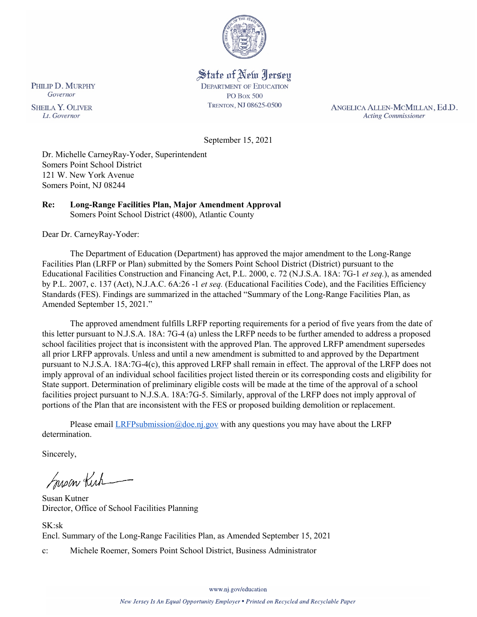

State of New Jersey **DEPARTMENT OF EDUCATION PO Box 500** TRENTON, NJ 08625-0500

ANGELICA ALLEN-MCMILLAN, Ed.D. **Acting Commissioner** 

September 15, 2021

Dr. Michelle CarneyRay-Yoder, Superintendent Somers Point School District 121 W. New York Avenue Somers Point, NJ 08244

#### **Re: Long-Range Facilities Plan, Major Amendment Approval**  Somers Point School District (4800), Atlantic County

Dear Dr. CarneyRay-Yoder:

The Department of Education (Department) has approved the major amendment to the Long-Range Facilities Plan (LRFP or Plan) submitted by the Somers Point School District (District) pursuant to the Educational Facilities Construction and Financing Act, P.L. 2000, c. 72 (N.J.S.A. 18A: 7G-1 *et seq.*), as amended by P.L. 2007, c. 137 (Act), N.J.A.C. 6A:26 -1 *et seq.* (Educational Facilities Code), and the Facilities Efficiency Standards (FES). Findings are summarized in the attached "Summary of the Long-Range Facilities Plan, as Amended September 15, 2021."

The approved amendment fulfills LRFP reporting requirements for a period of five years from the date of this letter pursuant to N.J.S.A. 18A: 7G-4 (a) unless the LRFP needs to be further amended to address a proposed school facilities project that is inconsistent with the approved Plan. The approved LRFP amendment supersedes all prior LRFP approvals. Unless and until a new amendment is submitted to and approved by the Department pursuant to N.J.S.A. 18A:7G-4(c), this approved LRFP shall remain in effect. The approval of the LRFP does not imply approval of an individual school facilities project listed therein or its corresponding costs and eligibility for State support. Determination of preliminary eligible costs will be made at the time of the approval of a school facilities project pursuant to N.J.S.A. 18A:7G-5. Similarly, approval of the LRFP does not imply approval of portions of the Plan that are inconsistent with the FES or proposed building demolition or replacement.

Please email  $LRFP submission@doe.nj.gov$  with any questions you may have about the LRFP determination.

Sincerely,

Susan Kich

Susan Kutner Director, Office of School Facilities Planning

SK:sk

Encl. Summary of the Long-Range Facilities Plan, as Amended September 15, 2021

c: Michele Roemer, Somers Point School District, Business Administrator

www.nj.gov/education

PHILIP D. MURPHY Governor

**SHEILA Y. OLIVER** Lt. Governor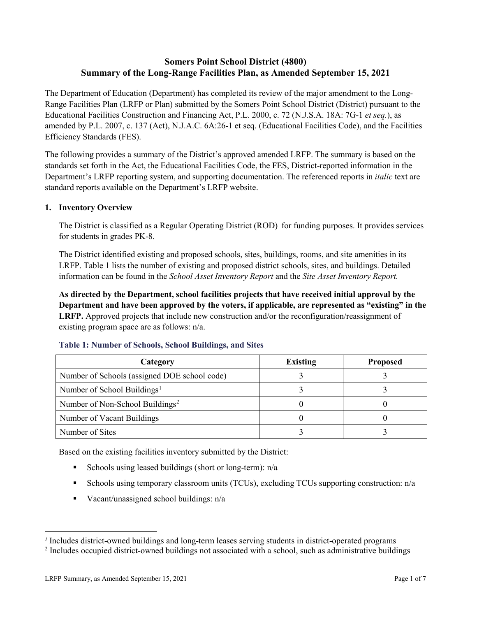## **Somers Point School District (4800) Summary of the Long-Range Facilities Plan, as Amended September 15, 2021**

The Department of Education (Department) has completed its review of the major amendment to the Long-Range Facilities Plan (LRFP or Plan) submitted by the Somers Point School District (District) pursuant to the Educational Facilities Construction and Financing Act, P.L. 2000, c. 72 (N.J.S.A. 18A: 7G-1 *et seq.*), as amended by P.L. 2007, c. 137 (Act), N.J.A.C. 6A:26-1 et seq. (Educational Facilities Code), and the Facilities Efficiency Standards (FES).

The following provides a summary of the District's approved amended LRFP. The summary is based on the standards set forth in the Act, the Educational Facilities Code, the FES, District-reported information in the Department's LRFP reporting system, and supporting documentation. The referenced reports in *italic* text are standard reports available on the Department's LRFP website.

## **1. Inventory Overview**

The District is classified as a Regular Operating District (ROD) for funding purposes. It provides services for students in grades PK-8.

The District identified existing and proposed schools, sites, buildings, rooms, and site amenities in its LRFP. Table 1 lists the number of existing and proposed district schools, sites, and buildings. Detailed information can be found in the *School Asset Inventory Report* and the *Site Asset Inventory Report.*

**As directed by the Department, school facilities projects that have received initial approval by the Department and have been approved by the voters, if applicable, are represented as "existing" in the LRFP.** Approved projects that include new construction and/or the reconfiguration/reassignment of existing program space are as follows: n/a.

| Category                                     | <b>Existing</b> | <b>Proposed</b> |
|----------------------------------------------|-----------------|-----------------|
| Number of Schools (assigned DOE school code) |                 |                 |
| Number of School Buildings <sup>1</sup>      |                 |                 |
| Number of Non-School Buildings <sup>2</sup>  |                 |                 |
| Number of Vacant Buildings                   |                 |                 |
| Number of Sites                              |                 |                 |

#### **Table 1: Number of Schools, School Buildings, and Sites**

Based on the existing facilities inventory submitted by the District:

- Schools using leased buildings (short or long-term):  $n/a$
- Schools using temporary classroom units (TCUs), excluding TCUs supporting construction: n/a
- Vacant/unassigned school buildings:  $n/a$

 $\overline{a}$ 

<span id="page-1-1"></span><span id="page-1-0"></span>*<sup>1</sup>* Includes district-owned buildings and long-term leases serving students in district-operated programs

<sup>&</sup>lt;sup>2</sup> Includes occupied district-owned buildings not associated with a school, such as administrative buildings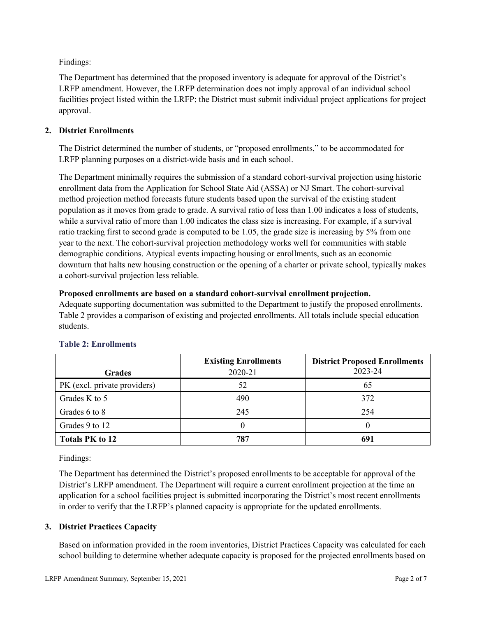Findings:

The Department has determined that the proposed inventory is adequate for approval of the District's LRFP amendment. However, the LRFP determination does not imply approval of an individual school facilities project listed within the LRFP; the District must submit individual project applications for project approval.

## **2. District Enrollments**

The District determined the number of students, or "proposed enrollments," to be accommodated for LRFP planning purposes on a district-wide basis and in each school.

The Department minimally requires the submission of a standard cohort-survival projection using historic enrollment data from the Application for School State Aid (ASSA) or NJ Smart. The cohort-survival method projection method forecasts future students based upon the survival of the existing student population as it moves from grade to grade. A survival ratio of less than 1.00 indicates a loss of students, while a survival ratio of more than 1.00 indicates the class size is increasing. For example, if a survival ratio tracking first to second grade is computed to be 1.05, the grade size is increasing by 5% from one year to the next. The cohort-survival projection methodology works well for communities with stable demographic conditions. Atypical events impacting housing or enrollments, such as an economic downturn that halts new housing construction or the opening of a charter or private school, typically makes a cohort-survival projection less reliable.

## **Proposed enrollments are based on a standard cohort-survival enrollment projection.**

Adequate supporting documentation was submitted to the Department to justify the proposed enrollments. Table 2 provides a comparison of existing and projected enrollments. All totals include special education students.

|                              | <b>Existing Enrollments</b> | <b>District Proposed Enrollments</b> |
|------------------------------|-----------------------------|--------------------------------------|
| <b>Grades</b>                | 2020-21                     | 2023-24                              |
| PK (excl. private providers) | 52                          | 65                                   |
| Grades K to 5                | 490                         | 372                                  |
| Grades 6 to 8                | 245                         | 254                                  |
| Grades 9 to 12               |                             |                                      |
| <b>Totals PK to 12</b>       | 787                         | 691                                  |

# **Table 2: Enrollments**

Findings:

The Department has determined the District's proposed enrollments to be acceptable for approval of the District's LRFP amendment. The Department will require a current enrollment projection at the time an application for a school facilities project is submitted incorporating the District's most recent enrollments in order to verify that the LRFP's planned capacity is appropriate for the updated enrollments.

# **3. District Practices Capacity**

Based on information provided in the room inventories, District Practices Capacity was calculated for each school building to determine whether adequate capacity is proposed for the projected enrollments based on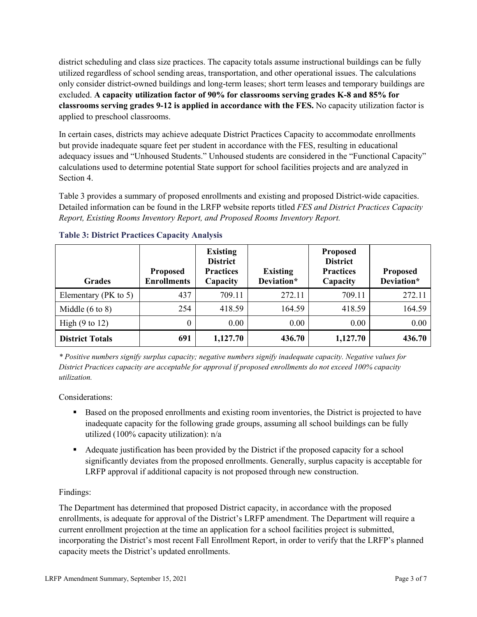district scheduling and class size practices. The capacity totals assume instructional buildings can be fully utilized regardless of school sending areas, transportation, and other operational issues. The calculations only consider district-owned buildings and long-term leases; short term leases and temporary buildings are excluded. **A capacity utilization factor of 90% for classrooms serving grades K-8 and 85% for classrooms serving grades 9-12 is applied in accordance with the FES.** No capacity utilization factor is applied to preschool classrooms.

In certain cases, districts may achieve adequate District Practices Capacity to accommodate enrollments but provide inadequate square feet per student in accordance with the FES, resulting in educational adequacy issues and "Unhoused Students." Unhoused students are considered in the "Functional Capacity" calculations used to determine potential State support for school facilities projects and are analyzed in Section 4.

Table 3 provides a summary of proposed enrollments and existing and proposed District-wide capacities. Detailed information can be found in the LRFP website reports titled *FES and District Practices Capacity Report, Existing Rooms Inventory Report, and Proposed Rooms Inventory Report.*

| <b>Grades</b>              | <b>Proposed</b><br><b>Enrollments</b> | <b>Existing</b><br><b>District</b><br><b>Practices</b><br>Capacity | <b>Existing</b><br>Deviation* | <b>Proposed</b><br><b>District</b><br><b>Practices</b><br>Capacity | <b>Proposed</b><br>Deviation* |
|----------------------------|---------------------------------------|--------------------------------------------------------------------|-------------------------------|--------------------------------------------------------------------|-------------------------------|
| Elementary ( $PK$ to 5)    | 437                                   | 709.11                                                             | 272.11                        | 709.11                                                             | 272.11                        |
| Middle $(6 \text{ to } 8)$ | 254                                   | 418.59                                                             | 164.59                        | 418.59                                                             | 164.59                        |
| High $(9 \text{ to } 12)$  | 0                                     | 0.00                                                               | 0.00                          | 0.00                                                               | 0.00                          |
| <b>District Totals</b>     | 691                                   | 1,127.70                                                           | 436.70                        | 1,127.70                                                           | 436.70                        |

## **Table 3: District Practices Capacity Analysis**

*\* Positive numbers signify surplus capacity; negative numbers signify inadequate capacity. Negative values for District Practices capacity are acceptable for approval if proposed enrollments do not exceed 100% capacity utilization.*

Considerations:

- Based on the proposed enrollments and existing room inventories, the District is projected to have inadequate capacity for the following grade groups, assuming all school buildings can be fully utilized (100% capacity utilization): n/a
- Adequate justification has been provided by the District if the proposed capacity for a school significantly deviates from the proposed enrollments. Generally, surplus capacity is acceptable for LRFP approval if additional capacity is not proposed through new construction.

## Findings:

The Department has determined that proposed District capacity, in accordance with the proposed enrollments, is adequate for approval of the District's LRFP amendment. The Department will require a current enrollment projection at the time an application for a school facilities project is submitted, incorporating the District's most recent Fall Enrollment Report, in order to verify that the LRFP's planned capacity meets the District's updated enrollments.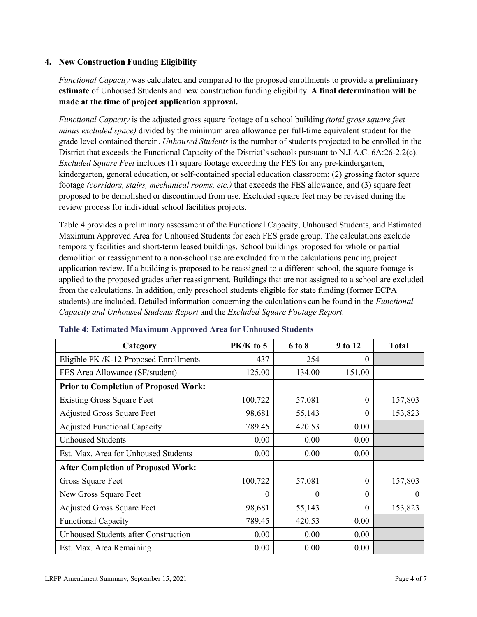#### **4. New Construction Funding Eligibility**

*Functional Capacity* was calculated and compared to the proposed enrollments to provide a **preliminary estimate** of Unhoused Students and new construction funding eligibility. **A final determination will be made at the time of project application approval.**

*Functional Capacity* is the adjusted gross square footage of a school building *(total gross square feet minus excluded space)* divided by the minimum area allowance per full-time equivalent student for the grade level contained therein. *Unhoused Students* is the number of students projected to be enrolled in the District that exceeds the Functional Capacity of the District's schools pursuant to N.J.A.C. 6A:26-2.2(c). *Excluded Square Feet* includes (1) square footage exceeding the FES for any pre-kindergarten, kindergarten, general education, or self-contained special education classroom; (2) grossing factor square footage *(corridors, stairs, mechanical rooms, etc.)* that exceeds the FES allowance, and (3) square feet proposed to be demolished or discontinued from use. Excluded square feet may be revised during the review process for individual school facilities projects.

Table 4 provides a preliminary assessment of the Functional Capacity, Unhoused Students, and Estimated Maximum Approved Area for Unhoused Students for each FES grade group. The calculations exclude temporary facilities and short-term leased buildings. School buildings proposed for whole or partial demolition or reassignment to a non-school use are excluded from the calculations pending project application review. If a building is proposed to be reassigned to a different school, the square footage is applied to the proposed grades after reassignment. Buildings that are not assigned to a school are excluded from the calculations. In addition, only preschool students eligible for state funding (former ECPA students) are included. Detailed information concerning the calculations can be found in the *Functional Capacity and Unhoused Students Report* and the *Excluded Square Footage Report.*

| Category                                     | PK/K to 5 | 6 to 8   | 9 to 12  | <b>Total</b> |
|----------------------------------------------|-----------|----------|----------|--------------|
| Eligible PK /K-12 Proposed Enrollments       | 437       | 254      | 0        |              |
| FES Area Allowance (SF/student)              | 125.00    | 134.00   | 151.00   |              |
| <b>Prior to Completion of Proposed Work:</b> |           |          |          |              |
| <b>Existing Gross Square Feet</b>            | 100,722   | 57,081   | $\theta$ | 157,803      |
| <b>Adjusted Gross Square Feet</b>            | 98,681    | 55,143   | $\theta$ | 153,823      |
| <b>Adjusted Functional Capacity</b>          | 789.45    | 420.53   | 0.00     |              |
| <b>Unhoused Students</b>                     | 0.00      | 0.00     | 0.00     |              |
| Est. Max. Area for Unhoused Students         | 0.00      | 0.00     | 0.00     |              |
| <b>After Completion of Proposed Work:</b>    |           |          |          |              |
| Gross Square Feet                            | 100,722   | 57,081   | $\theta$ | 157,803      |
| New Gross Square Feet                        | $\Omega$  | $\Omega$ | $\Omega$ | $\theta$     |
| <b>Adjusted Gross Square Feet</b>            | 98,681    | 55,143   | $\Omega$ | 153,823      |
| <b>Functional Capacity</b>                   | 789.45    | 420.53   | 0.00     |              |
| <b>Unhoused Students after Construction</b>  | 0.00      | 0.00     | 0.00     |              |
| Est. Max. Area Remaining                     | 0.00      | 0.00     | 0.00     |              |

#### **Table 4: Estimated Maximum Approved Area for Unhoused Students**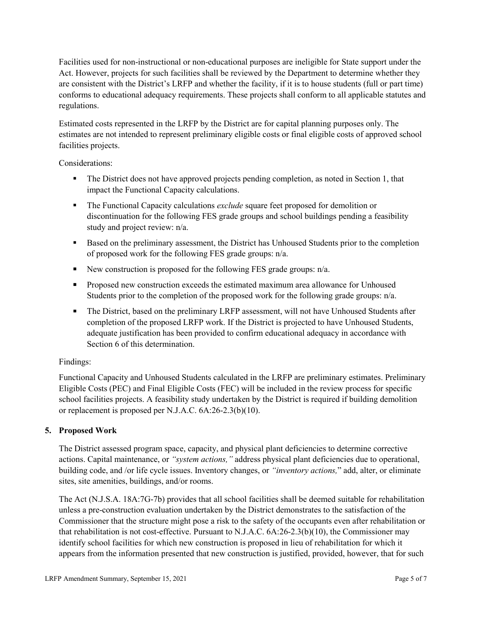Facilities used for non-instructional or non-educational purposes are ineligible for State support under the Act. However, projects for such facilities shall be reviewed by the Department to determine whether they are consistent with the District's LRFP and whether the facility, if it is to house students (full or part time) conforms to educational adequacy requirements. These projects shall conform to all applicable statutes and regulations.

Estimated costs represented in the LRFP by the District are for capital planning purposes only. The estimates are not intended to represent preliminary eligible costs or final eligible costs of approved school facilities projects.

Considerations:

- The District does not have approved projects pending completion, as noted in Section 1, that impact the Functional Capacity calculations.
- **The Functional Capacity calculations** *exclude* square feet proposed for demolition or discontinuation for the following FES grade groups and school buildings pending a feasibility study and project review: n/a.
- Based on the preliminary assessment, the District has Unhoused Students prior to the completion of proposed work for the following FES grade groups: n/a.
- New construction is proposed for the following FES grade groups: n/a.
- Proposed new construction exceeds the estimated maximum area allowance for Unhoused Students prior to the completion of the proposed work for the following grade groups: n/a.
- The District, based on the preliminary LRFP assessment, will not have Unhoused Students after completion of the proposed LRFP work. If the District is projected to have Unhoused Students, adequate justification has been provided to confirm educational adequacy in accordance with Section 6 of this determination.

## Findings:

Functional Capacity and Unhoused Students calculated in the LRFP are preliminary estimates. Preliminary Eligible Costs (PEC) and Final Eligible Costs (FEC) will be included in the review process for specific school facilities projects. A feasibility study undertaken by the District is required if building demolition or replacement is proposed per N.J.A.C. 6A:26-2.3(b)(10).

## **5. Proposed Work**

The District assessed program space, capacity, and physical plant deficiencies to determine corrective actions. Capital maintenance, or *"system actions,"* address physical plant deficiencies due to operational, building code, and /or life cycle issues. Inventory changes, or *"inventory actions,*" add, alter, or eliminate sites, site amenities, buildings, and/or rooms.

The Act (N.J.S.A. 18A:7G-7b) provides that all school facilities shall be deemed suitable for rehabilitation unless a pre-construction evaluation undertaken by the District demonstrates to the satisfaction of the Commissioner that the structure might pose a risk to the safety of the occupants even after rehabilitation or that rehabilitation is not cost-effective. Pursuant to N.J.A.C. 6A:26-2.3(b)(10), the Commissioner may identify school facilities for which new construction is proposed in lieu of rehabilitation for which it appears from the information presented that new construction is justified, provided, however, that for such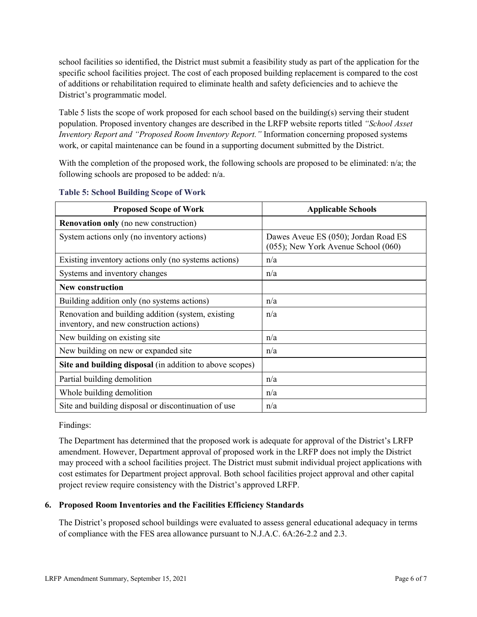school facilities so identified, the District must submit a feasibility study as part of the application for the specific school facilities project. The cost of each proposed building replacement is compared to the cost of additions or rehabilitation required to eliminate health and safety deficiencies and to achieve the District's programmatic model.

Table 5 lists the scope of work proposed for each school based on the building(s) serving their student population. Proposed inventory changes are described in the LRFP website reports titled *"School Asset Inventory Report and "Proposed Room Inventory Report."* Information concerning proposed systems work, or capital maintenance can be found in a supporting document submitted by the District.

With the completion of the proposed work, the following schools are proposed to be eliminated:  $n/a$ ; the following schools are proposed to be added: n/a.

| <b>Proposed Scope of Work</b>                                                                  | <b>Applicable Schools</b>                                                   |
|------------------------------------------------------------------------------------------------|-----------------------------------------------------------------------------|
| <b>Renovation only</b> (no new construction)                                                   |                                                                             |
| System actions only (no inventory actions)                                                     | Dawes Aveue ES (050); Jordan Road ES<br>(055); New York Avenue School (060) |
| Existing inventory actions only (no systems actions)                                           | n/a                                                                         |
| Systems and inventory changes                                                                  | n/a                                                                         |
| <b>New construction</b>                                                                        |                                                                             |
| Building addition only (no systems actions)                                                    | n/a                                                                         |
| Renovation and building addition (system, existing<br>inventory, and new construction actions) | n/a                                                                         |
| New building on existing site                                                                  | n/a                                                                         |
| New building on new or expanded site                                                           | n/a                                                                         |
| Site and building disposal (in addition to above scopes)                                       |                                                                             |
| Partial building demolition                                                                    | n/a                                                                         |
| Whole building demolition                                                                      | n/a                                                                         |
| Site and building disposal or discontinuation of use                                           | n/a                                                                         |

#### **Table 5: School Building Scope of Work**

Findings:

The Department has determined that the proposed work is adequate for approval of the District's LRFP amendment. However, Department approval of proposed work in the LRFP does not imply the District may proceed with a school facilities project. The District must submit individual project applications with cost estimates for Department project approval. Both school facilities project approval and other capital project review require consistency with the District's approved LRFP.

## **6. Proposed Room Inventories and the Facilities Efficiency Standards**

The District's proposed school buildings were evaluated to assess general educational adequacy in terms of compliance with the FES area allowance pursuant to N.J.A.C. 6A:26-2.2 and 2.3.